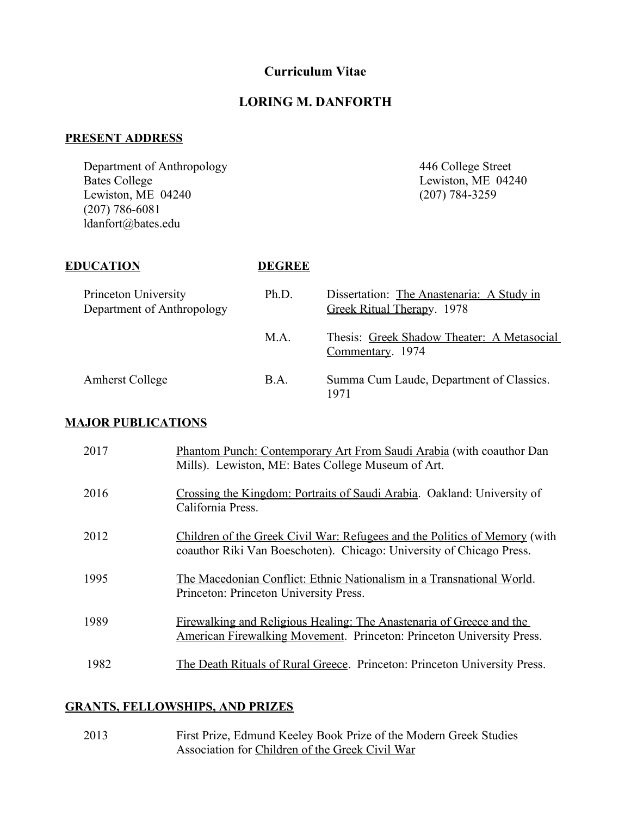# **Curriculum Vitae**

### **LORING M. DANFORTH**

## **PRESENT ADDRESS**

Department of Anthropology 446 College Street<br>Bates College Lewiston, ME 042 Lewiston,  $ME$  04240 (207) 786-6081 ldanfort@bates.edu

Lewiston, ME 04240<br>(207) 784-3259

### **EDUCATION DEGREE**

| Princeton University<br>Department of Anthropology | Ph.D.       | Dissertation: The Anastenaria: A Study in<br>Greek Ritual Therapy. 1978 |
|----------------------------------------------------|-------------|-------------------------------------------------------------------------|
|                                                    | M.A.        | Thesis: Greek Shadow Theater: A Metasocial<br>Commentary. 1974          |
| <b>Amherst College</b>                             | <b>B.A.</b> | Summa Cum Laude, Department of Classics.<br>1971                        |

# **MAJOR PUBLICATIONS**

| 2017 | Phantom Punch: Contemporary Art From Saudi Arabia (with coauthor Dan<br>Mills). Lewiston, ME: Bates College Museum of Art.                                  |
|------|-------------------------------------------------------------------------------------------------------------------------------------------------------------|
| 2016 | Crossing the Kingdom: Portraits of Saudi Arabia. Oakland: University of<br>California Press.                                                                |
| 2012 | Children of the Greek Civil War: Refugees and the Politics of Memory (with<br>coauthor Riki Van Boeschoten). Chicago: University of Chicago Press.          |
| 1995 | The Macedonian Conflict: Ethnic Nationalism in a Transnational World.<br>Princeton: Princeton University Press.                                             |
| 1989 | <u>Firewalking and Religious Healing: The Anastenaria of Greece and the</u><br><b>American Firewalking Movement. Princeton: Princeton University Press.</b> |
| 1982 | The Death Rituals of Rural Greece. Princeton: Princeton University Press.                                                                                   |

## **GRANTS, FELLOWSHIPS, AND PRIZES**

| 2013 | First Prize, Edmund Keeley Book Prize of the Modern Greek Studies |
|------|-------------------------------------------------------------------|
|      | Association for Children of the Greek Civil War                   |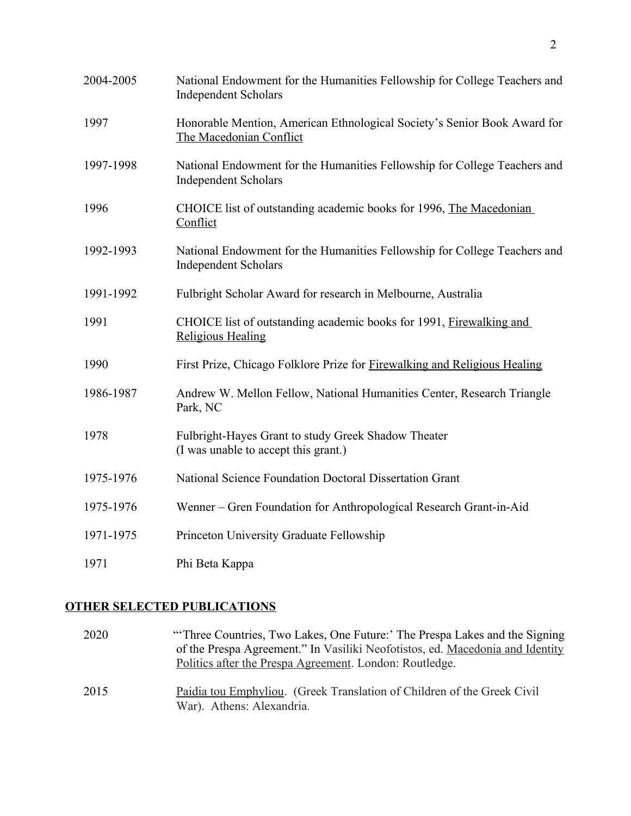| 2004-2005 | National Endowment for the Humanities Fellowship for College Teachers and<br><b>Independent Scholars</b> |
|-----------|----------------------------------------------------------------------------------------------------------|
| 1997      | Honorable Mention, American Ethnological Society's Senior Book Award for<br>The Macedonian Conflict      |
| 1997-1998 | National Endowment for the Humanities Fellowship for College Teachers and<br><b>Independent Scholars</b> |
| 1996      | CHOICE list of outstanding academic books for 1996, The Macedonian<br>Conflict                           |
| 1992-1993 | National Endowment for the Humanities Fellowship for College Teachers and<br><b>Independent Scholars</b> |
| 1991-1992 | Fulbright Scholar Award for research in Melbourne, Australia                                             |
| 1991      | CHOICE list of outstanding academic books for 1991, Firewalking and<br><b>Religious Healing</b>          |
| 1990      | First Prize, Chicago Folklore Prize for Firewalking and Religious Healing                                |
| 1986-1987 | Andrew W. Mellon Fellow, National Humanities Center, Research Triangle<br>Park, NC                       |
| 1978      | Fulbright-Hayes Grant to study Greek Shadow Theater<br>(I was unable to accept this grant.)              |
| 1975-1976 | National Science Foundation Doctoral Dissertation Grant                                                  |
| 1975-1976 | Wenner – Gren Foundation for Anthropological Research Grant-in-Aid                                       |
| 1971-1975 | Princeton University Graduate Fellowship                                                                 |
| 1971      | Phi Beta Kappa                                                                                           |

# **OTHER SELECTED PUBLICATIONS**

| 2020 | "Three Countries, Two Lakes, One Future:' The Prespa Lakes and the Signing<br>of the Prespa Agreement." In Vasiliki Neofotistos, ed. Macedonia and Identity<br>Politics after the Prespa Agreement. London: Routledge. |
|------|------------------------------------------------------------------------------------------------------------------------------------------------------------------------------------------------------------------------|
| 2015 | Paidia tou Emphyliou. (Greek Translation of Children of the Greek Civil<br>War). Athens: Alexandria.                                                                                                                   |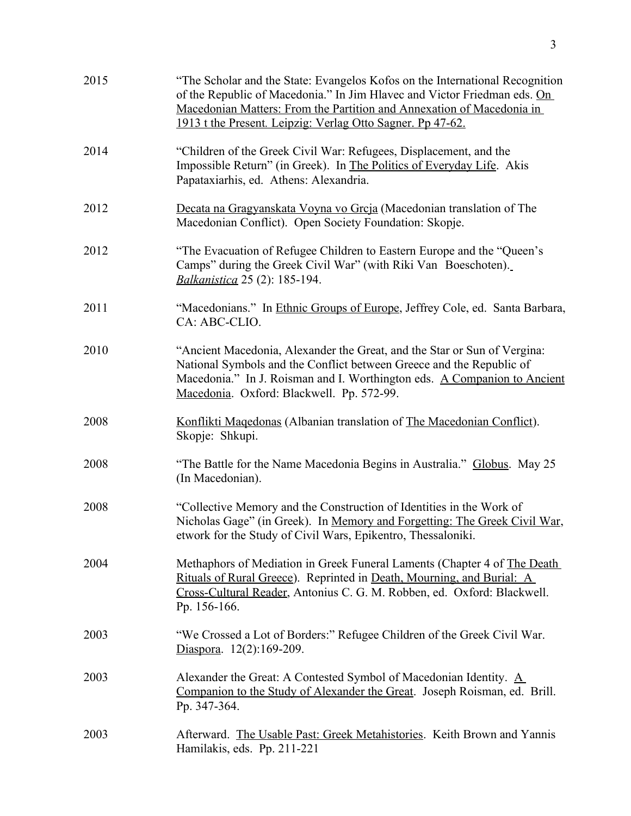| 2015 | "The Scholar and the State: Evangelos Kofos on the International Recognition<br>of the Republic of Macedonia." In Jim Hlavec and Victor Friedman eds. On<br>Macedonian Matters: From the Partition and Annexation of Macedonia in<br>1913 t the Present. Leipzig: Verlag Otto Sagner. Pp 47-62. |
|------|-------------------------------------------------------------------------------------------------------------------------------------------------------------------------------------------------------------------------------------------------------------------------------------------------|
| 2014 | "Children of the Greek Civil War: Refugees, Displacement, and the<br>Impossible Return" (in Greek). In The Politics of Everyday Life. Akis<br>Papataxiarhis, ed. Athens: Alexandria.                                                                                                            |
| 2012 | Decata na Gragyanskata Voyna vo Grcja (Macedonian translation of The<br>Macedonian Conflict). Open Society Foundation: Skopje.                                                                                                                                                                  |
| 2012 | "The Evacuation of Refugee Children to Eastern Europe and the "Queen's<br>Camps" during the Greek Civil War" (with Riki Van Boeschoten).<br><b>Balkanistica</b> 25 (2): 185-194.                                                                                                                |
| 2011 | "Macedonians." In Ethnic Groups of Europe, Jeffrey Cole, ed. Santa Barbara,<br>CA: ABC-CLIO.                                                                                                                                                                                                    |
| 2010 | "Ancient Macedonia, Alexander the Great, and the Star or Sun of Vergina:<br>National Symbols and the Conflict between Greece and the Republic of<br>Macedonia." In J. Roisman and I. Worthington eds. A Companion to Ancient<br>Macedonia. Oxford: Blackwell. Pp. 572-99.                       |
| 2008 | Konflikti Magedonas (Albanian translation of The Macedonian Conflict).<br>Skopje: Shkupi.                                                                                                                                                                                                       |
| 2008 | "The Battle for the Name Macedonia Begins in Australia." Globus. May 25<br>(In Macedonian).                                                                                                                                                                                                     |
| 2008 | "Collective Memory and the Construction of Identities in the Work of<br>Nicholas Gage" (in Greek). In Memory and Forgetting: The Greek Civil War,<br>etwork for the Study of Civil Wars, Epikentro, Thessaloniki.                                                                               |
| 2004 | Methaphors of Mediation in Greek Funeral Laments (Chapter 4 of The Death<br>Rituals of Rural Greece). Reprinted in Death, Mourning, and Burial: A<br>Cross-Cultural Reader, Antonius C. G. M. Robben, ed. Oxford: Blackwell.<br>Pp. 156-166.                                                    |
| 2003 | "We Crossed a Lot of Borders:" Refugee Children of the Greek Civil War.<br>Diaspora. $12(2):169-209$ .                                                                                                                                                                                          |
| 2003 | Alexander the Great: A Contested Symbol of Macedonian Identity. $\underline{A}$<br>Companion to the Study of Alexander the Great. Joseph Roisman, ed. Brill.<br>Pp. 347-364.                                                                                                                    |
| 2003 | Afterward. The Usable Past: Greek Metahistories. Keith Brown and Yannis<br>Hamilakis, eds. Pp. 211-221                                                                                                                                                                                          |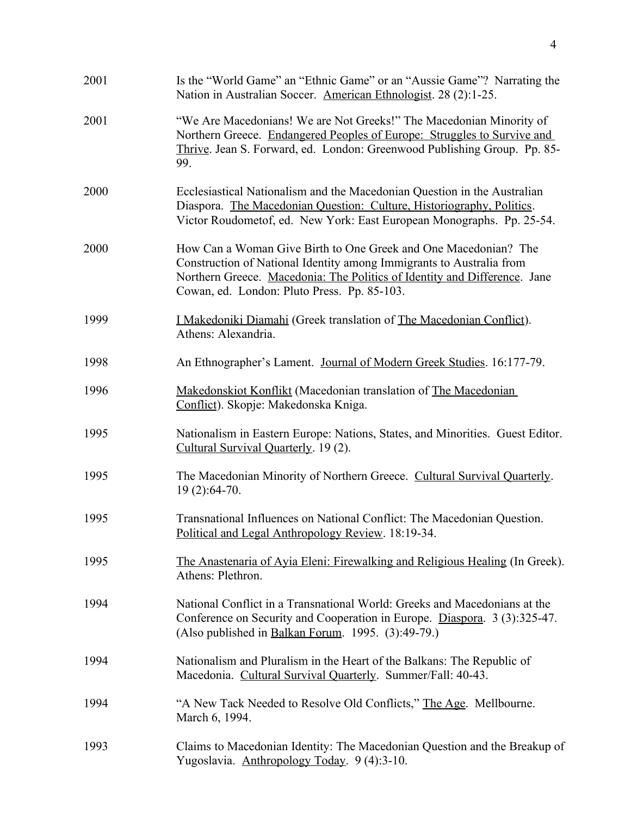| 2001 | Is the "World Game" an "Ethnic Game" or an "Aussie Game"? Narrating the<br>Nation in Australian Soccer. American Ethnologist. 28 (2):1-25.                                                                                                                          |
|------|---------------------------------------------------------------------------------------------------------------------------------------------------------------------------------------------------------------------------------------------------------------------|
| 2001 | "We Are Macedonians! We are Not Greeks!" The Macedonian Minority of<br>Northern Greece. Endangered Peoples of Europe: Struggles to Survive and<br>Thrive. Jean S. Forward, ed. London: Greenwood Publishing Group. Pp. 85-<br>99.                                   |
| 2000 | Ecclesiastical Nationalism and the Macedonian Question in the Australian<br>Diaspora. The Macedonian Question: Culture, Historiography, Politics.<br>Victor Roudometof, ed. New York: East European Monographs. Pp. 25-54.                                          |
| 2000 | How Can a Woman Give Birth to One Greek and One Macedonian? The<br>Construction of National Identity among Immigrants to Australia from<br>Northern Greece. Macedonia: The Politics of Identity and Difference. Jane<br>Cowan, ed. London: Pluto Press. Pp. 85-103. |
| 1999 | <u>I Makedoniki Diamahi</u> (Greek translation of The Macedonian Conflict).<br>Athens: Alexandria.                                                                                                                                                                  |
| 1998 | An Ethnographer's Lament. Journal of Modern Greek Studies. 16:177-79.                                                                                                                                                                                               |
| 1996 | Makedonskiot Konflikt (Macedonian translation of The Macedonian<br>Conflict). Skopje: Makedonska Kniga.                                                                                                                                                             |
| 1995 | Nationalism in Eastern Europe: Nations, States, and Minorities. Guest Editor.<br>Cultural Survival Quarterly. 19(2).                                                                                                                                                |
| 1995 | The Macedonian Minority of Northern Greece. Cultural Survival Quarterly.<br>19 (2):64-70.                                                                                                                                                                           |
| 1995 | Transnational Influences on National Conflict: The Macedonian Question.<br>Political and Legal Anthropology Review. 18:19-34.                                                                                                                                       |
| 1995 | The Anastenaria of Ayia Eleni: Firewalking and Religious Healing (In Greek).<br>Athens: Plethron.                                                                                                                                                                   |
| 1994 | National Conflict in a Transnational World: Greeks and Macedonians at the<br>Conference on Security and Cooperation in Europe. Diaspora. 3 (3):325-47.<br>(Also published in Balkan Forum. 1995. (3):49-79.)                                                        |
| 1994 | Nationalism and Pluralism in the Heart of the Balkans: The Republic of<br>Macedonia. Cultural Survival Quarterly. Summer/Fall: 40-43.                                                                                                                               |
| 1994 | "A New Tack Needed to Resolve Old Conflicts," The Age. Mellbourne.<br>March 6, 1994.                                                                                                                                                                                |
| 1993 | Claims to Macedonian Identity: The Macedonian Question and the Breakup of<br>Yugoslavia. Anthropology Today. 9 (4):3-10.                                                                                                                                            |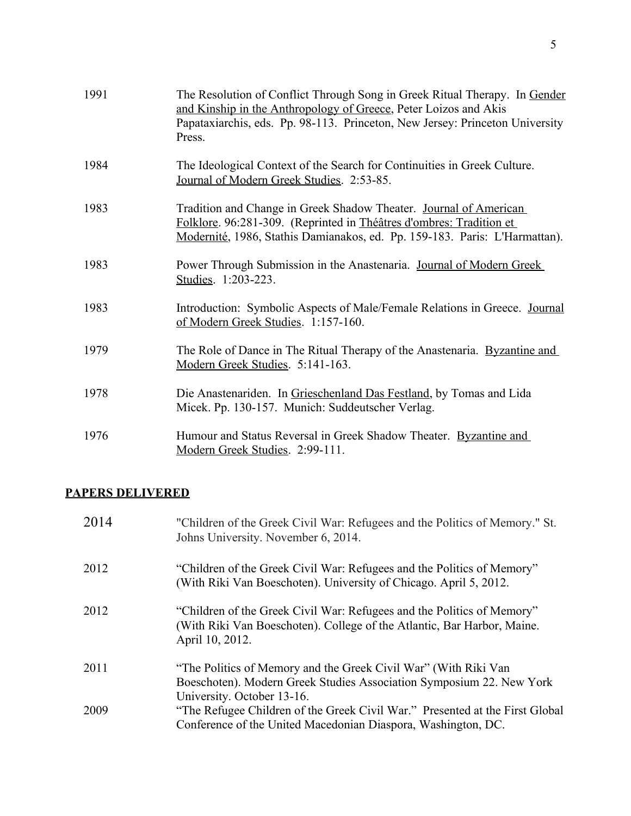| 1991 | The Resolution of Conflict Through Song in Greek Ritual Therapy. In Gender<br>and Kinship in the Anthropology of Greece, Peter Loizos and Akis<br>Papataxiarchis, eds. Pp. 98-113. Princeton, New Jersey: Princeton University<br>Press. |
|------|------------------------------------------------------------------------------------------------------------------------------------------------------------------------------------------------------------------------------------------|
| 1984 | The Ideological Context of the Search for Continuities in Greek Culture.<br>Journal of Modern Greek Studies. 2:53-85.                                                                                                                    |
| 1983 | Tradition and Change in Greek Shadow Theater. Journal of American<br>Folklore. 96:281-309. (Reprinted in Théâtres d'ombres: Tradition et<br>Modernité, 1986, Stathis Damianakos, ed. Pp. 159-183. Paris: L'Harmattan).                   |
| 1983 | Power Through Submission in the Anastenaria. Journal of Modern Greek<br>Studies. 1:203-223.                                                                                                                                              |
| 1983 | Introduction: Symbolic Aspects of Male/Female Relations in Greece. Journal<br>of Modern Greek Studies. 1:157-160.                                                                                                                        |
| 1979 | The Role of Dance in The Ritual Therapy of the Anastenaria. Byzantine and<br>Modern Greek Studies. 5:141-163.                                                                                                                            |
| 1978 | Die Anastenariden. In Grieschenland Das Festland, by Tomas and Lida<br>Micek. Pp. 130-157. Munich: Suddeutscher Verlag.                                                                                                                  |
| 1976 | Humour and Status Reversal in Greek Shadow Theater. Byzantine and<br>Modern Greek Studies. 2:99-111.                                                                                                                                     |

# **PAPERS DELIVERED**

| 2014 | "Children of the Greek Civil War: Refugees and the Politics of Memory." St.<br>Johns University. November 6, 2014.                                                    |
|------|-----------------------------------------------------------------------------------------------------------------------------------------------------------------------|
| 2012 | "Children of the Greek Civil War: Refugees and the Politics of Memory"<br>(With Riki Van Boeschoten). University of Chicago. April 5, 2012.                           |
| 2012 | "Children of the Greek Civil War: Refugees and the Politics of Memory"<br>(With Riki Van Boeschoten). College of the Atlantic, Bar Harbor, Maine.<br>April 10, 2012.  |
| 2011 | "The Politics of Memory and the Greek Civil War" (With Riki Van<br>Boeschoten). Modern Greek Studies Association Symposium 22. New York<br>University. October 13-16. |
| 2009 | "The Refugee Children of the Greek Civil War." Presented at the First Global<br>Conference of the United Macedonian Diaspora, Washington, DC.                         |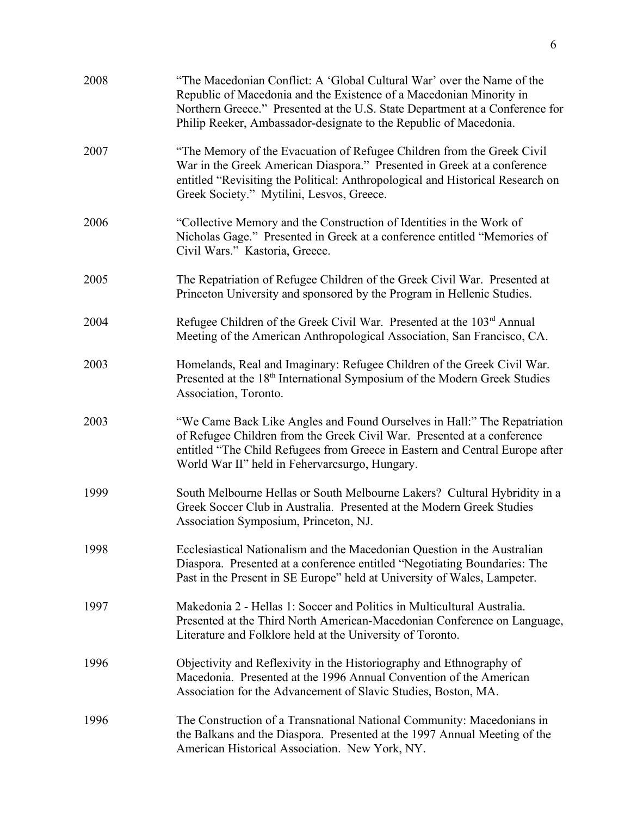| 2008 | "The Macedonian Conflict: A 'Global Cultural War' over the Name of the<br>Republic of Macedonia and the Existence of a Macedonian Minority in<br>Northern Greece." Presented at the U.S. State Department at a Conference for<br>Philip Reeker, Ambassador-designate to the Republic of Macedonia. |
|------|----------------------------------------------------------------------------------------------------------------------------------------------------------------------------------------------------------------------------------------------------------------------------------------------------|
| 2007 | "The Memory of the Evacuation of Refugee Children from the Greek Civil<br>War in the Greek American Diaspora." Presented in Greek at a conference<br>entitled "Revisiting the Political: Anthropological and Historical Research on<br>Greek Society." Mytilini, Lesvos, Greece.                   |
| 2006 | "Collective Memory and the Construction of Identities in the Work of<br>Nicholas Gage." Presented in Greek at a conference entitled "Memories of<br>Civil Wars." Kastoria, Greece.                                                                                                                 |
| 2005 | The Repatriation of Refugee Children of the Greek Civil War. Presented at<br>Princeton University and sponsored by the Program in Hellenic Studies.                                                                                                                                                |
| 2004 | Refugee Children of the Greek Civil War. Presented at the 103 <sup>rd</sup> Annual<br>Meeting of the American Anthropological Association, San Francisco, CA.                                                                                                                                      |
| 2003 | Homelands, Real and Imaginary: Refugee Children of the Greek Civil War.<br>Presented at the 18 <sup>th</sup> International Symposium of the Modern Greek Studies<br>Association, Toronto.                                                                                                          |
| 2003 | "We Came Back Like Angles and Found Ourselves in Hall:" The Repatriation<br>of Refugee Children from the Greek Civil War. Presented at a conference<br>entitled "The Child Refugees from Greece in Eastern and Central Europe after<br>World War II" held in Fehervarcsurgo, Hungary.              |
| 1999 | South Melbourne Hellas or South Melbourne Lakers? Cultural Hybridity in a<br>Greek Soccer Club in Australia. Presented at the Modern Greek Studies<br>Association Symposium, Princeton, NJ.                                                                                                        |
| 1998 | Ecclesiastical Nationalism and the Macedonian Question in the Australian<br>Diaspora. Presented at a conference entitled "Negotiating Boundaries: The<br>Past in the Present in SE Europe" held at University of Wales, Lampeter.                                                                  |
| 1997 | Makedonia 2 - Hellas 1: Soccer and Politics in Multicultural Australia.<br>Presented at the Third North American-Macedonian Conference on Language,<br>Literature and Folklore held at the University of Toronto.                                                                                  |
| 1996 | Objectivity and Reflexivity in the Historiography and Ethnography of<br>Macedonia. Presented at the 1996 Annual Convention of the American<br>Association for the Advancement of Slavic Studies, Boston, MA.                                                                                       |
| 1996 | The Construction of a Transnational National Community: Macedonians in<br>the Balkans and the Diaspora. Presented at the 1997 Annual Meeting of the<br>American Historical Association. New York, NY.                                                                                              |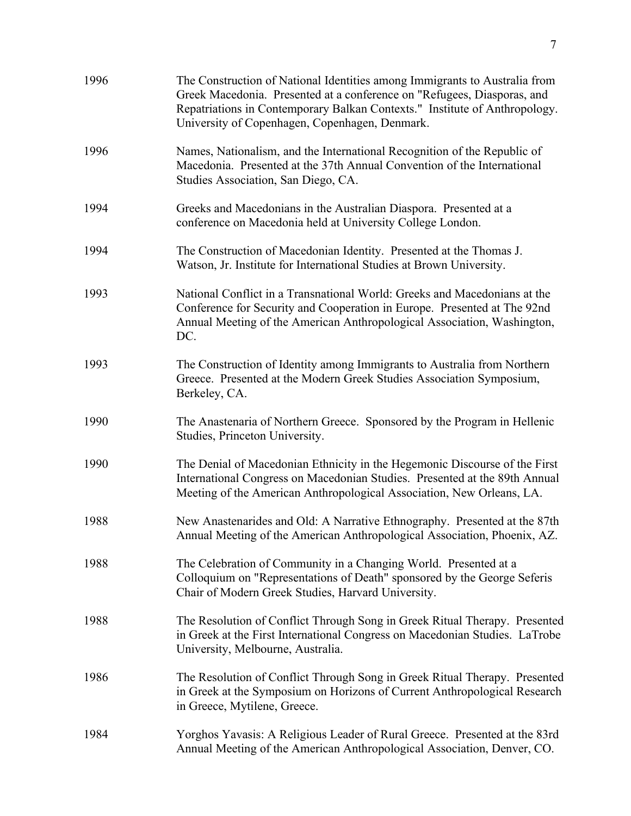| 1996 | The Construction of National Identities among Immigrants to Australia from<br>Greek Macedonia. Presented at a conference on "Refugees, Diasporas, and<br>Repatriations in Contemporary Balkan Contexts." Institute of Anthropology.<br>University of Copenhagen, Copenhagen, Denmark. |
|------|---------------------------------------------------------------------------------------------------------------------------------------------------------------------------------------------------------------------------------------------------------------------------------------|
| 1996 | Names, Nationalism, and the International Recognition of the Republic of<br>Macedonia. Presented at the 37th Annual Convention of the International<br>Studies Association, San Diego, CA.                                                                                            |
| 1994 | Greeks and Macedonians in the Australian Diaspora. Presented at a<br>conference on Macedonia held at University College London.                                                                                                                                                       |
| 1994 | The Construction of Macedonian Identity. Presented at the Thomas J.<br>Watson, Jr. Institute for International Studies at Brown University.                                                                                                                                           |
| 1993 | National Conflict in a Transnational World: Greeks and Macedonians at the<br>Conference for Security and Cooperation in Europe. Presented at The 92nd<br>Annual Meeting of the American Anthropological Association, Washington,<br>DC.                                               |
| 1993 | The Construction of Identity among Immigrants to Australia from Northern<br>Greece. Presented at the Modern Greek Studies Association Symposium,<br>Berkeley, CA.                                                                                                                     |
| 1990 | The Anastenaria of Northern Greece. Sponsored by the Program in Hellenic<br>Studies, Princeton University.                                                                                                                                                                            |
| 1990 | The Denial of Macedonian Ethnicity in the Hegemonic Discourse of the First<br>International Congress on Macedonian Studies. Presented at the 89th Annual<br>Meeting of the American Anthropological Association, New Orleans, LA.                                                     |
| 1988 | New Anastenarides and Old: A Narrative Ethnography. Presented at the 87th<br>Annual Meeting of the American Anthropological Association, Phoenix, AZ.                                                                                                                                 |
| 1988 | The Celebration of Community in a Changing World. Presented at a<br>Colloquium on "Representations of Death" sponsored by the George Seferis<br>Chair of Modern Greek Studies, Harvard University.                                                                                    |
| 1988 | The Resolution of Conflict Through Song in Greek Ritual Therapy. Presented<br>in Greek at the First International Congress on Macedonian Studies. LaTrobe<br>University, Melbourne, Australia.                                                                                        |
| 1986 | The Resolution of Conflict Through Song in Greek Ritual Therapy. Presented<br>in Greek at the Symposium on Horizons of Current Anthropological Research<br>in Greece, Mytilene, Greece.                                                                                               |
| 1984 | Yorghos Yavasis: A Religious Leader of Rural Greece. Presented at the 83rd<br>Annual Meeting of the American Anthropological Association, Denver, CO.                                                                                                                                 |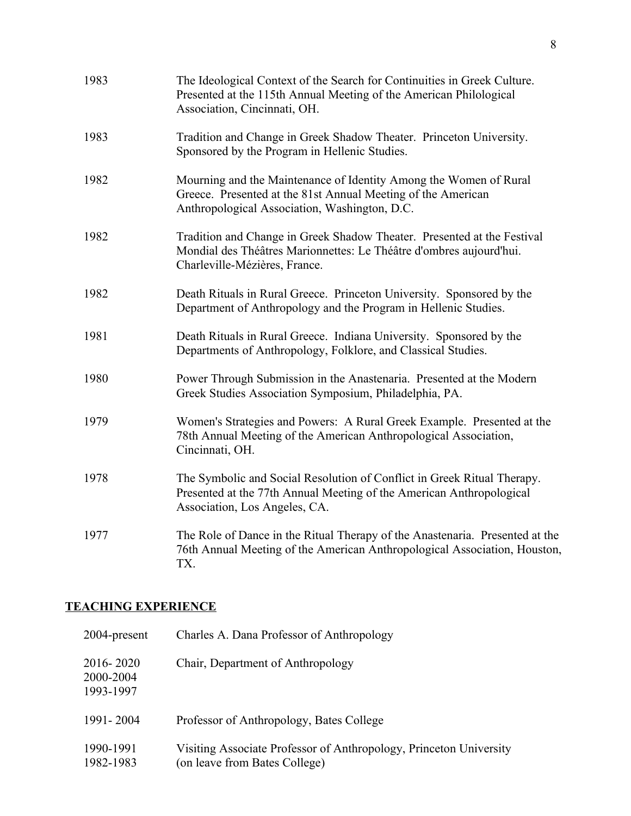| 1983 | The Ideological Context of the Search for Continuities in Greek Culture.<br>Presented at the 115th Annual Meeting of the American Philological<br>Association, Cincinnati, OH.     |
|------|------------------------------------------------------------------------------------------------------------------------------------------------------------------------------------|
| 1983 | Tradition and Change in Greek Shadow Theater. Princeton University.<br>Sponsored by the Program in Hellenic Studies.                                                               |
| 1982 | Mourning and the Maintenance of Identity Among the Women of Rural<br>Greece. Presented at the 81st Annual Meeting of the American<br>Anthropological Association, Washington, D.C. |
| 1982 | Tradition and Change in Greek Shadow Theater. Presented at the Festival<br>Mondial des Théâtres Marionnettes: Le Théâtre d'ombres aujourd'hui.<br>Charleville-Mézières, France.    |
| 1982 | Death Rituals in Rural Greece. Princeton University. Sponsored by the<br>Department of Anthropology and the Program in Hellenic Studies.                                           |
| 1981 | Death Rituals in Rural Greece. Indiana University. Sponsored by the<br>Departments of Anthropology, Folklore, and Classical Studies.                                               |
| 1980 | Power Through Submission in the Anastenaria. Presented at the Modern<br>Greek Studies Association Symposium, Philadelphia, PA.                                                     |
| 1979 | Women's Strategies and Powers: A Rural Greek Example. Presented at the<br>78th Annual Meeting of the American Anthropological Association,<br>Cincinnati, OH.                      |
| 1978 | The Symbolic and Social Resolution of Conflict in Greek Ritual Therapy.<br>Presented at the 77th Annual Meeting of the American Anthropological<br>Association, Los Angeles, CA.   |
| 1977 | The Role of Dance in the Ritual Therapy of the Anastenaria. Presented at the<br>76th Annual Meeting of the American Anthropological Association, Houston,<br>TX.                   |

# **TEACHING EXPERIENCE**

| 2004-present                        | Charles A. Dana Professor of Anthropology                                                           |
|-------------------------------------|-----------------------------------------------------------------------------------------------------|
| 2016-2020<br>2000-2004<br>1993-1997 | Chair, Department of Anthropology                                                                   |
| 1991-2004                           | Professor of Anthropology, Bates College                                                            |
| 1990-1991<br>1982-1983              | Visiting Associate Professor of Anthropology, Princeton University<br>(on leave from Bates College) |
|                                     |                                                                                                     |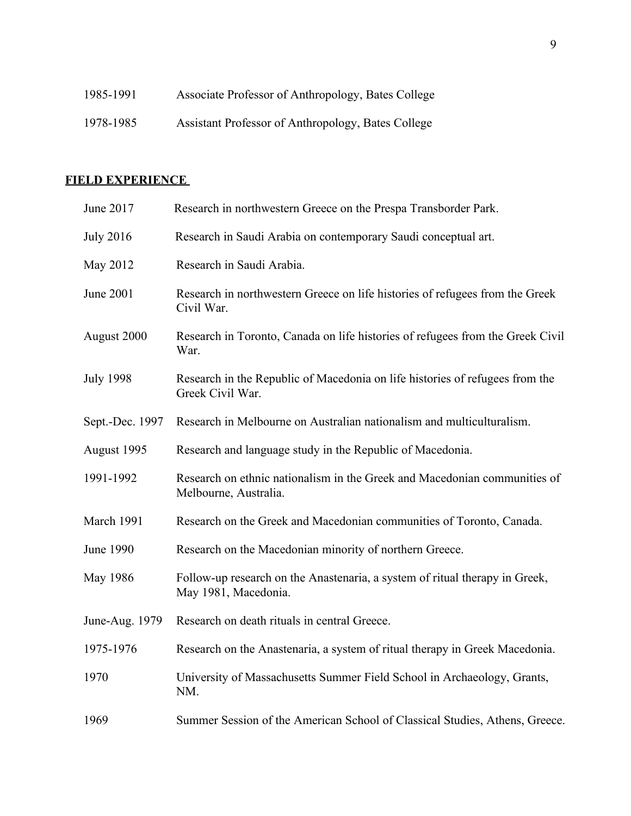| 1985-1991 | Associate Professor of Anthropology, Bates College |
|-----------|----------------------------------------------------|
| 1978-1985 | Assistant Professor of Anthropology, Bates College |

# **FIELD EXPERIENCE**

| June 2017        | Research in northwestern Greece on the Prespa Transborder Park.                                     |
|------------------|-----------------------------------------------------------------------------------------------------|
| <b>July 2016</b> | Research in Saudi Arabia on contemporary Saudi conceptual art.                                      |
| May 2012         | Research in Saudi Arabia.                                                                           |
| June 2001        | Research in northwestern Greece on life histories of refugees from the Greek<br>Civil War.          |
| August 2000      | Research in Toronto, Canada on life histories of refugees from the Greek Civil<br>War.              |
| <b>July 1998</b> | Research in the Republic of Macedonia on life histories of refugees from the<br>Greek Civil War.    |
| Sept.-Dec. 1997  | Research in Melbourne on Australian nationalism and multiculturalism.                               |
| August 1995      | Research and language study in the Republic of Macedonia.                                           |
| 1991-1992        | Research on ethnic nationalism in the Greek and Macedonian communities of<br>Melbourne, Australia.  |
| March 1991       | Research on the Greek and Macedonian communities of Toronto, Canada.                                |
| <b>June 1990</b> | Research on the Macedonian minority of northern Greece.                                             |
| May 1986         | Follow-up research on the Anastenaria, a system of ritual therapy in Greek,<br>May 1981, Macedonia. |
| June-Aug. 1979   | Research on death rituals in central Greece.                                                        |
| 1975-1976        | Research on the Anastenaria, a system of ritual therapy in Greek Macedonia.                         |
| 1970             | University of Massachusetts Summer Field School in Archaeology, Grants,<br>NM.                      |
| 1969             | Summer Session of the American School of Classical Studies, Athens, Greece.                         |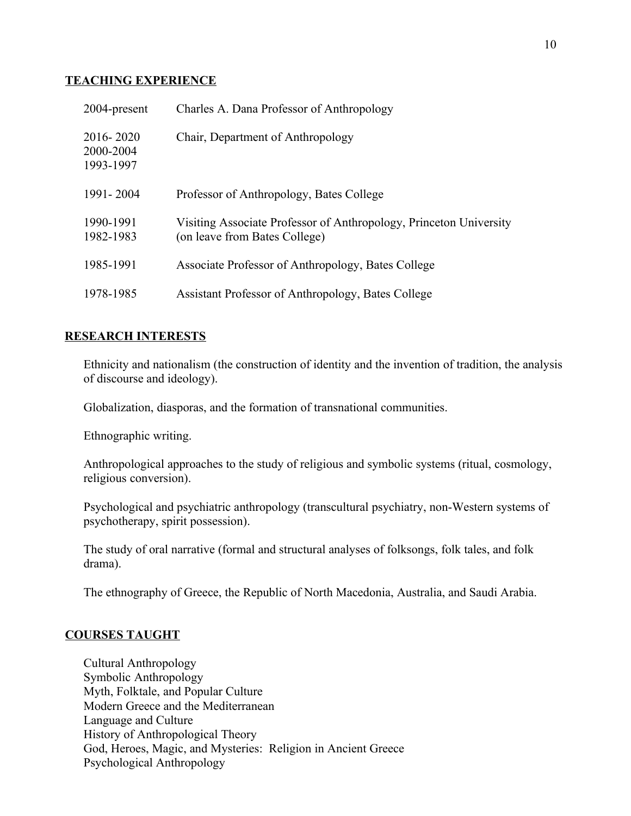#### **TEACHING EXPERIENCE**

| 2004-present                        | Charles A. Dana Professor of Anthropology                                                           |
|-------------------------------------|-----------------------------------------------------------------------------------------------------|
| 2016-2020<br>2000-2004<br>1993-1997 | Chair, Department of Anthropology                                                                   |
| 1991-2004                           | Professor of Anthropology, Bates College                                                            |
| 1990-1991<br>1982-1983              | Visiting Associate Professor of Anthropology, Princeton University<br>(on leave from Bates College) |
| 1985-1991                           | Associate Professor of Anthropology, Bates College                                                  |
| 1978-1985                           | Assistant Professor of Anthropology, Bates College                                                  |

### **RESEARCH INTERESTS**

Ethnicity and nationalism (the construction of identity and the invention of tradition, the analysis of discourse and ideology).

Globalization, diasporas, and the formation of transnational communities.

Ethnographic writing.

Anthropological approaches to the study of religious and symbolic systems (ritual, cosmology, religious conversion).

Psychological and psychiatric anthropology (transcultural psychiatry, non-Western systems of psychotherapy, spirit possession).

The study of oral narrative (formal and structural analyses of folksongs, folk tales, and folk drama).

The ethnography of Greece, the Republic of North Macedonia, Australia, and Saudi Arabia.

#### **COURSES TAUGHT**

Cultural Anthropology Symbolic Anthropology Myth, Folktale, and Popular Culture Modern Greece and the Mediterranean Language and Culture History of Anthropological Theory God, Heroes, Magic, and Mysteries: Religion in Ancient Greece Psychological Anthropology